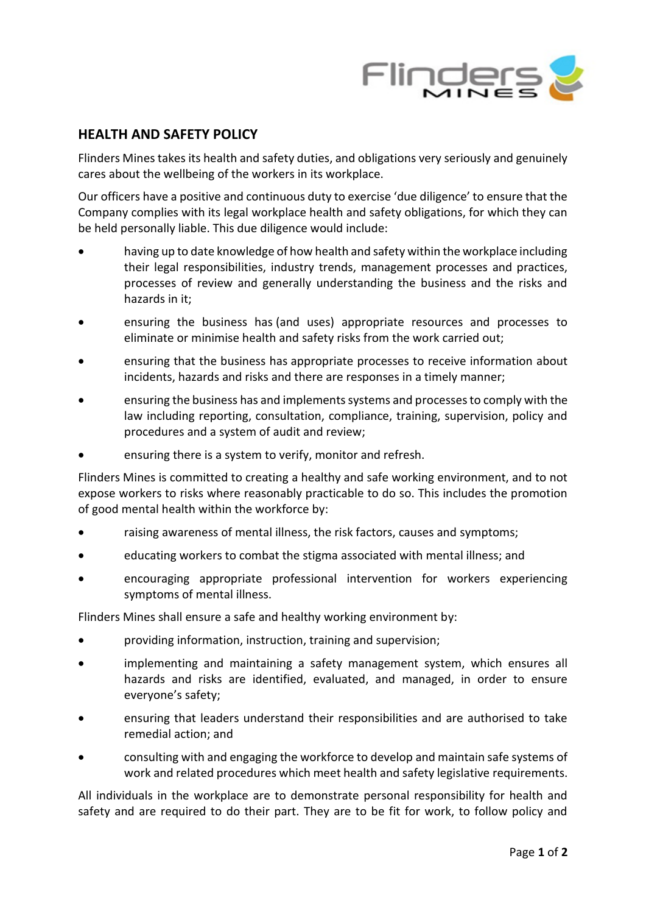

## **HEALTH AND SAFETY POLICY**

Flinders Mines takes its health and safety duties, and obligations very seriously and genuinely cares about the wellbeing of the workers in its workplace.

Our officers have a positive and continuous duty to exercise 'due diligence' to ensure that the Company complies with its legal workplace health and safety obligations, for which they can be held personally liable. This due diligence would include:

- having up to date knowledge of how health and safety within the workplace including their legal responsibilities, industry trends, management processes and practices, processes of review and generally understanding the business and the risks and hazards in it;
- ensuring the business has (and uses) appropriate resources and processes to eliminate or minimise health and safety risks from the work carried out;
- ensuring that the business has appropriate processes to receive information about incidents, hazards and risks and there are responses in a timely manner;
- ensuring the business has and implements systems and processes to comply with the law including reporting, consultation, compliance, training, supervision, policy and procedures and a system of audit and review;
- ensuring there is a system to verify, monitor and refresh.

Flinders Mines is committed to creating a healthy and safe working environment, and to not expose workers to risks where reasonably practicable to do so. This includes the promotion of good mental health within the workforce by:

- raising awareness of mental illness, the risk factors, causes and symptoms;
- educating workers to combat the stigma associated with mental illness; and
- encouraging appropriate professional intervention for workers experiencing symptoms of mental illness.

Flinders Mines shall ensure a safe and healthy working environment by:

- providing information, instruction, training and supervision;
- implementing and maintaining a safety management system, which ensures all hazards and risks are identified, evaluated, and managed, in order to ensure everyone's safety;
- ensuring that leaders understand their responsibilities and are authorised to take remedial action; and
- consulting with and engaging the workforce to develop and maintain safe systems of work and related procedures which meet health and safety legislative requirements.

All individuals in the workplace are to demonstrate personal responsibility for health and safety and are required to do their part. They are to be fit for work, to follow policy and